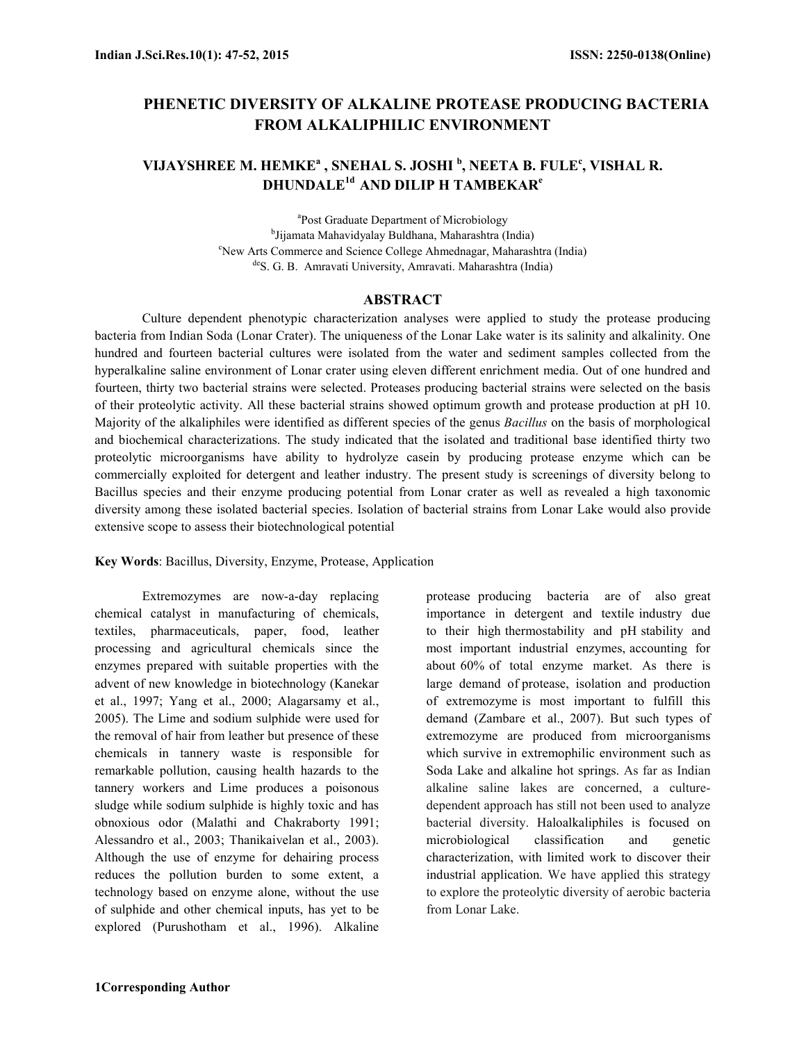# PHENETIC DIVERSITY OF ALKALINE PROTEASE PRODUCING BACTERIA FROM ALKALIPHILIC ENVIRONMENT

## VIJAYSHREE M. HEMKEª , SNEHAL S. JOSHI <sup>b</sup>, NEETA B. FULE<sup>c</sup>, VISHAL R. DHUNDALE<sup>1d</sup> AND DILIP H TAMBEKAR<sup>e</sup>

a Post Graduate Department of Microbiology b Jijamata Mahavidyalay Buldhana, Maharashtra (India) <sup>c</sup>New Arts Commerce and Science College Ahmednagar, Maharashtra (India) deS. G. B. Amravati University, Amravati. Maharashtra (India)

#### ABSTRACT

Culture dependent phenotypic characterization analyses were applied to study the protease producing bacteria from Indian Soda (Lonar Crater). The uniqueness of the Lonar Lake water is its salinity and alkalinity. One hundred and fourteen bacterial cultures were isolated from the water and sediment samples collected from the hyperalkaline saline environment of Lonar crater using eleven different enrichment media. Out of one hundred and fourteen, thirty two bacterial strains were selected. Proteases producing bacterial strains were selected on the basis of their proteolytic activity. All these bacterial strains showed optimum growth and protease production at pH 10. Majority of the alkaliphiles were identified as different species of the genus Bacillus on the basis of morphological and biochemical characterizations. The study indicated that the isolated and traditional base identified thirty two proteolytic microorganisms have ability to hydrolyze casein by producing protease enzyme which can be commercially exploited for detergent and leather industry. The present study is screenings of diversity belong to Bacillus species and their enzyme producing potential from Lonar crater as well as revealed a high taxonomic diversity among these isolated bacterial species. Isolation of bacterial strains from Lonar Lake would also provide extensive scope to assess their biotechnological potential

Key Words: Bacillus, Diversity, Enzyme, Protease, Application

Extremozymes are now-a-day replacing chemical catalyst in manufacturing of chemicals, textiles, pharmaceuticals, paper, food, leather processing and agricultural chemicals since the enzymes prepared with suitable properties with the advent of new knowledge in biotechnology (Kanekar et al., 1997; Yang et al., 2000; Alagarsamy et al., 2005). The Lime and sodium sulphide were used for the removal of hair from leather but presence of these chemicals in tannery waste is responsible for remarkable pollution, causing health hazards to the tannery workers and Lime produces a poisonous sludge while sodium sulphide is highly toxic and has obnoxious odor (Malathi and Chakraborty 1991; Alessandro et al., 2003; Thanikaivelan et al., 2003). Although the use of enzyme for dehairing process reduces the pollution burden to some extent, a technology based on enzyme alone, without the use of sulphide and other chemical inputs, has yet to be explored (Purushotham et al., 1996). Alkaline

protease producing bacteria are of also great importance in detergent and textile industry due to their high thermostability and pH stability and most important industrial enzymes, accounting for about 60% of total enzyme market. As there is large demand of protease, isolation and production of extremozyme is most important to fulfill this demand (Zambare et al., 2007). But such types of extremozyme are produced from microorganisms which survive in extremophilic environment such as Soda Lake and alkaline hot springs. As far as Indian alkaline saline lakes are concerned, a culturedependent approach has still not been used to analyze bacterial diversity. Haloalkaliphiles is focused on microbiological classification and genetic characterization, with limited work to discover their industrial application. We have applied this strategy to explore the proteolytic diversity of aerobic bacteria from Lonar Lake.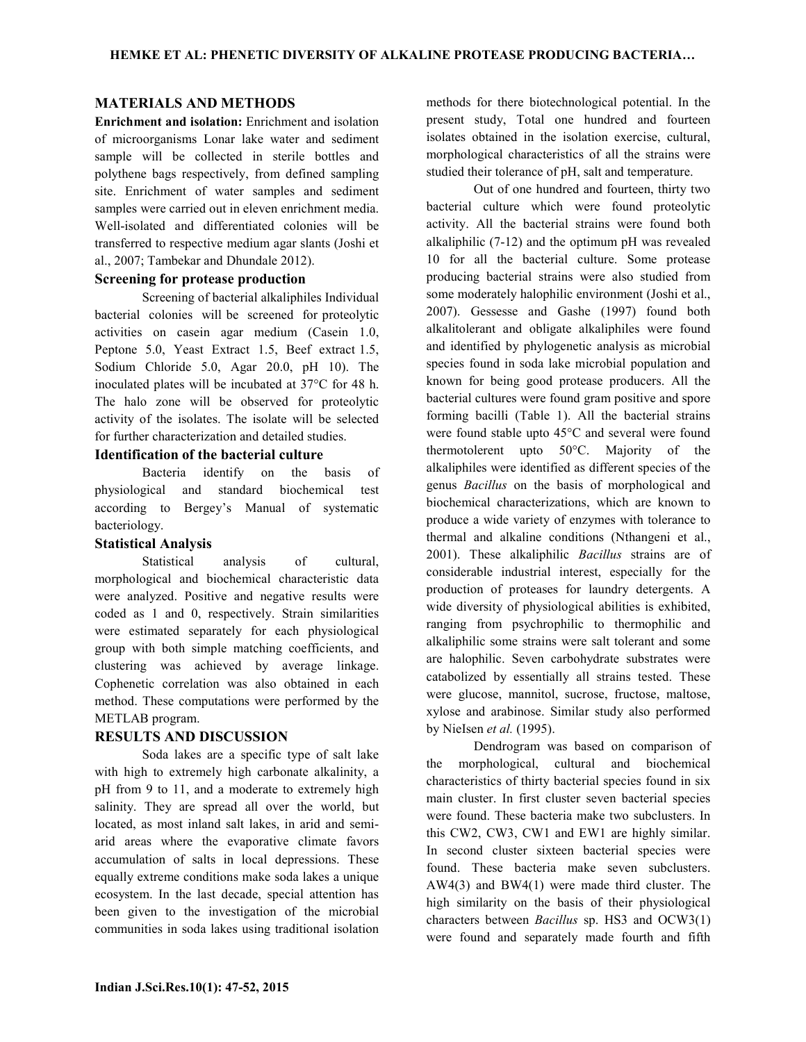### MATERIALS AND METHODS

Enrichment and isolation: Enrichment and isolation of microorganisms Lonar lake water and sediment sample will be collected in sterile bottles and polythene bags respectively, from defined sampling site. Enrichment of water samples and sediment samples were carried out in eleven enrichment media. Well-isolated and differentiated colonies will be transferred to respective medium agar slants (Joshi et al., 2007; Tambekar and Dhundale 2012).

#### Screening for protease production

Screening of bacterial alkaliphiles Individual bacterial colonies will be screened for proteolytic activities on casein agar medium (Casein 1.0, Peptone 5.0, Yeast Extract 1.5, Beef extract 1.5, Sodium Chloride 5.0, Agar 20.0, pH 10). The inoculated plates will be incubated at 37°C for 48 h. The halo zone will be observed for proteolytic activity of the isolates. The isolate will be selected for further characterization and detailed studies.

### Identification of the bacterial culture

 Bacteria identify on the basis of physiological and standard biochemical test according to Bergey's Manual of systematic bacteriology.

#### Statistical Analysis

Statistical analysis of cultural, morphological and biochemical characteristic data were analyzed. Positive and negative results were coded as 1 and 0, respectively. Strain similarities were estimated separately for each physiological group with both simple matching coefficients, and clustering was achieved by average linkage. Cophenetic correlation was also obtained in each method. These computations were performed by the METLAB program.

#### RESULTS AND DISCUSSION

Soda lakes are a specific type of salt lake with high to extremely high carbonate alkalinity, a pH from 9 to 11, and a moderate to extremely high salinity. They are spread all over the world, but located, as most inland salt lakes, in arid and semiarid areas where the evaporative climate favors accumulation of salts in local depressions. These equally extreme conditions make soda lakes a unique ecosystem. In the last decade, special attention has been given to the investigation of the microbial communities in soda lakes using traditional isolation

methods for there biotechnological potential. In the present study, Total one hundred and fourteen isolates obtained in the isolation exercise, cultural, morphological characteristics of all the strains were studied their tolerance of pH, salt and temperature.

Out of one hundred and fourteen, thirty two bacterial culture which were found proteolytic activity. All the bacterial strains were found both alkaliphilic (7-12) and the optimum pH was revealed 10 for all the bacterial culture. Some protease producing bacterial strains were also studied from some moderately halophilic environment (Joshi et al., 2007). Gessesse and Gashe (1997) found both alkalitolerant and obligate alkaliphiles were found and identified by phylogenetic analysis as microbial species found in soda lake microbial population and known for being good protease producers. All the bacterial cultures were found gram positive and spore forming bacilli (Table 1). All the bacterial strains were found stable upto 45°C and several were found thermotolerent upto 50°C. Majority of the alkaliphiles were identified as different species of the genus Bacillus on the basis of morphological and biochemical characterizations, which are known to produce a wide variety of enzymes with tolerance to thermal and alkaline conditions (Nthangeni et al., 2001). These alkaliphilic Bacillus strains are of considerable industrial interest, especially for the production of proteases for laundry detergents. A wide diversity of physiological abilities is exhibited, ranging from psychrophilic to thermophilic and alkaliphilic some strains were salt tolerant and some are halophilic. Seven carbohydrate substrates were catabolized by essentially all strains tested. These were glucose, mannitol, sucrose, fructose, maltose, xylose and arabinose. Similar study also performed by NieIsen et al. (1995).

Dendrogram was based on comparison of the morphological, cultural and biochemical characteristics of thirty bacterial species found in six main cluster. In first cluster seven bacterial species were found. These bacteria make two subclusters. In this CW2, CW3, CW1 and EW1 are highly similar. In second cluster sixteen bacterial species were found. These bacteria make seven subclusters. AW4(3) and BW4(1) were made third cluster. The high similarity on the basis of their physiological characters between Bacillus sp. HS3 and OCW3(1) were found and separately made fourth and fifth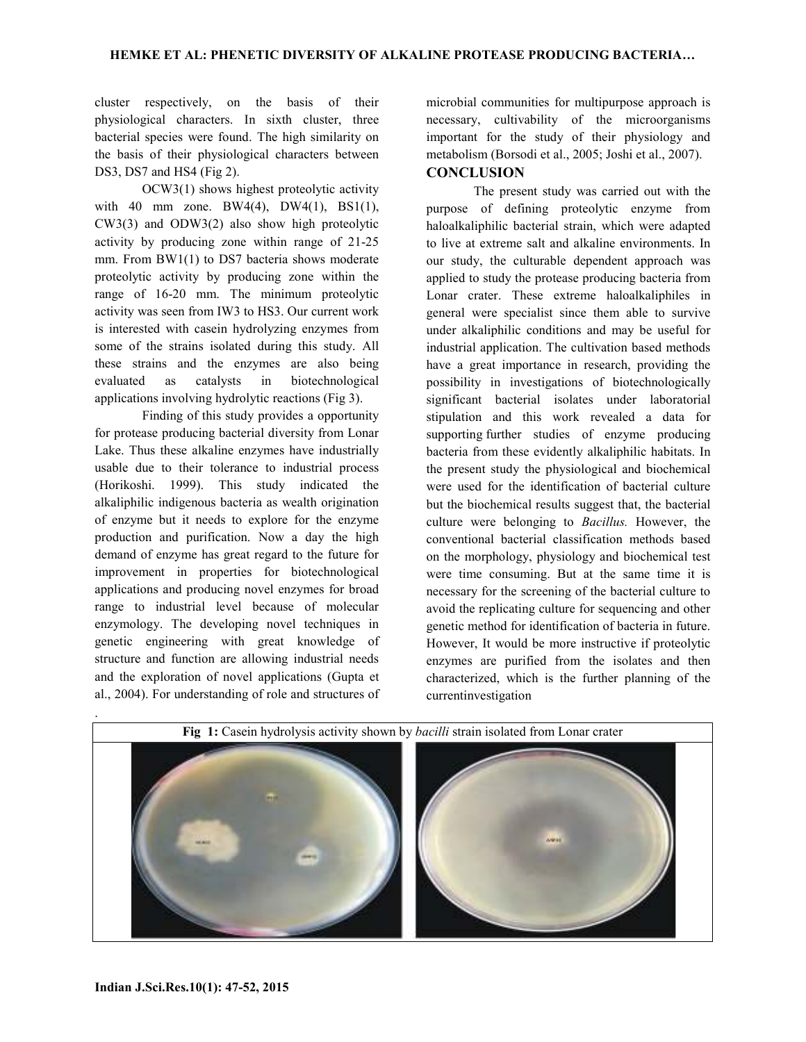cluster respectively, on the basis of their physiological characters. In sixth cluster, three bacterial species were found. The high similarity on the basis of their physiological characters between DS3, DS7 and HS4 (Fig 2).

OCW3(1) shows highest proteolytic activity with 40 mm zone. BW4(4), DW4(1), BS1(1), CW3(3) and ODW3(2) also show high proteolytic activity by producing zone within range of 21-25 mm. From BW1(1) to DS7 bacteria shows moderate proteolytic activity by producing zone within the range of 16-20 mm. The minimum proteolytic activity was seen from IW3 to HS3. Our current work is interested with casein hydrolyzing enzymes from some of the strains isolated during this study. All these strains and the enzymes are also being evaluated as catalysts in biotechnological applications involving hydrolytic reactions (Fig 3).

Finding of this study provides a opportunity for protease producing bacterial diversity from Lonar Lake. Thus these alkaline enzymes have industrially usable due to their tolerance to industrial process (Horikoshi. 1999). This study indicated the alkaliphilic indigenous bacteria as wealth origination of enzyme but it needs to explore for the enzyme production and purification. Now a day the high demand of enzyme has great regard to the future for improvement in properties for biotechnological applications and producing novel enzymes for broad range to industrial level because of molecular enzymology. The developing novel techniques in genetic engineering with great knowledge of structure and function are allowing industrial needs and the exploration of novel applications (Gupta et al., 2004). For understanding of role and structures of

microbial communities for multipurpose approach is necessary, cultivability of the microorganisms important for the study of their physiology and metabolism (Borsodi et al., 2005; Joshi et al., 2007).

### **CONCLUSION**

The present study was carried out with the purpose of defining proteolytic enzyme from haloalkaliphilic bacterial strain, which were adapted to live at extreme salt and alkaline environments. In our study, the culturable dependent approach was applied to study the protease producing bacteria from Lonar crater. These extreme haloalkaliphiles in general were specialist since them able to survive under alkaliphilic conditions and may be useful for industrial application. The cultivation based methods have a great importance in research, providing the possibility in investigations of biotechnologically significant bacterial isolates under laboratorial stipulation and this work revealed a data for supporting further studies of enzyme producing bacteria from these evidently alkaliphilic habitats. In the present study the physiological and biochemical were used for the identification of bacterial culture but the biochemical results suggest that, the bacterial culture were belonging to Bacillus. However, the conventional bacterial classification methods based on the morphology, physiology and biochemical test were time consuming. But at the same time it is necessary for the screening of the bacterial culture to avoid the replicating culture for sequencing and other genetic method for identification of bacteria in future. However, It would be more instructive if proteolytic enzymes are purified from the isolates and then characterized, which is the further planning of the currentinvestigation

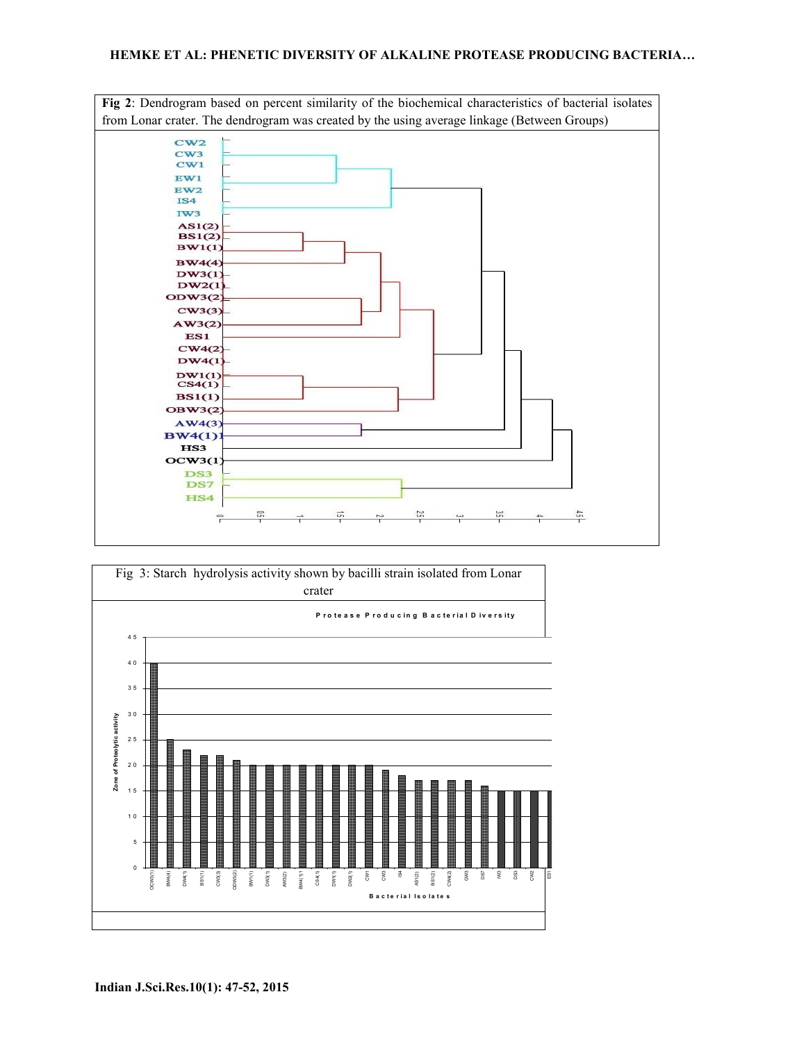#### HEMKE ET AL: PHENETIC DIVERSITY OF ALKALINE PROTEASE PRODUCING BACTERIA…



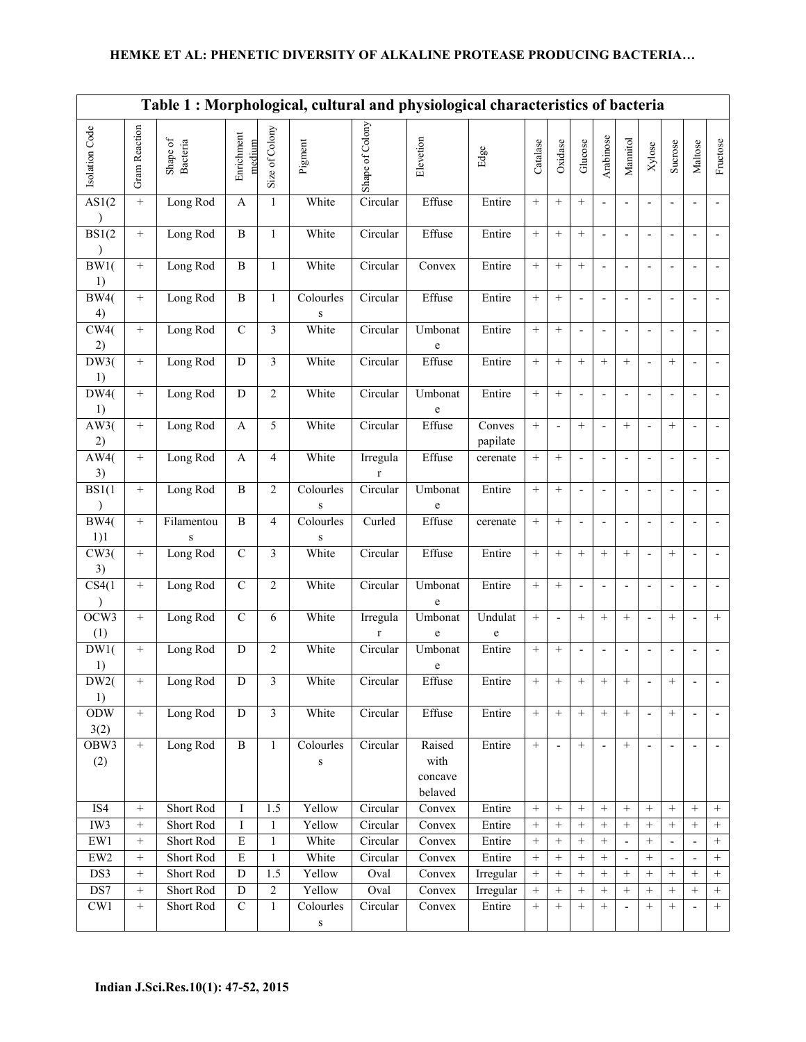## HEMKE ET AL: PHENETIC DIVERSITY OF ALKALINE PROTEASE PRODUCING BACTERIA…

|                    | Table 1: Morphological, cultural and physiological characteristics of bacteria |                                                                                |                      |                         |                           |                            |                                      |                    |                   |                 |                          |                          |                          |                          |                          |                          |                           |
|--------------------|--------------------------------------------------------------------------------|--------------------------------------------------------------------------------|----------------------|-------------------------|---------------------------|----------------------------|--------------------------------------|--------------------|-------------------|-----------------|--------------------------|--------------------------|--------------------------|--------------------------|--------------------------|--------------------------|---------------------------|
| Isolation Code     | Gram Reaction                                                                  | $\begin{array}{c} \mathrm{Shape}\ \mathrm{of}\\ \mathrm{Bacteria} \end{array}$ | Enrichment<br>medium | Size of Colony          | Pigment                   | Shape of Colony            | Elevetion                            | Edge               | Catalase          | Oxidase         | Glucose                  | Arabinose                | Mannitol                 | Xylose                   | Sucrose                  | Maltose                  | Fructose                  |
| AS1(2)             | $+$                                                                            | Long Rod                                                                       | $\mathbf{A}$         | 1                       | White                     | Circular                   | Effuse                               | Entire             | $^{+}$            |                 | $\! + \!\!\!\!$          | $\overline{\phantom{a}}$ | $\overline{\phantom{m}}$ |                          | $\overline{\phantom{a}}$ |                          | $\overline{\phantom{a}}$  |
| BS1(2)             | $\! + \!\!\!\!$                                                                | Long Rod                                                                       | $\, {\bf B}$         | $\mathbf{1}$            | White                     | Circular                   | Effuse                               | Entire             | $^{+}$            |                 | $\! + \!\!\!\!$          | $\overline{a}$           |                          |                          | $\overline{a}$           |                          |                           |
| BW1(<br>1)         | $\! + \!\!\!\!$                                                                | Long Rod                                                                       | $\, {\bf B}$         | $\mathbf{1}$            | White                     | Circular                   | Convex                               | Entire             | $^+$              | $\! + \!\!\!\!$ | $+$                      | $\blacksquare$           | $\overline{a}$           | $\overline{\phantom{a}}$ | $\overline{a}$           |                          | $\overline{\phantom{a}}$  |
| <b>BW4(</b><br>4)  | $\! + \!\!\!\!$                                                                | Long Rod                                                                       | $\, {\bf B}$         | $\mathbf{1}$            | Colourles<br>S            | Circular                   | Effuse                               | Entire             | $^+$              | $\! + \!\!\!\!$ | $\overline{\phantom{a}}$ | $\blacksquare$           | $\overline{\phantom{m}}$ | $\overline{a}$           | $\overline{\phantom{a}}$ | $\overline{a}$           | $\overline{\phantom{a}}$  |
| CW4(<br>2)         | $\! + \!\!\!\!$                                                                | Long Rod                                                                       | $\mathcal{C}$        | 3                       | White                     | Circular                   | Umbonat<br>e                         | Entire             | $^{+}$            | $\! + \!\!\!\!$ | $\overline{\phantom{a}}$ | $\overline{\phantom{a}}$ | $\overline{\phantom{a}}$ | $\overline{\phantom{a}}$ | $\overline{\phantom{a}}$ |                          | $\blacksquare$            |
| DW3(<br>1)         | $\! + \!\!\!\!$                                                                | Long Rod                                                                       | D                    | 3                       | White                     | Circular                   | Effuse                               | Entire             | $+$               | $\! + \!\!\!\!$ | $+$                      |                          |                          | $\overline{\phantom{a}}$ | $+$                      |                          | $\overline{\phantom{0}}$  |
| DW4(<br>1)         | $\boldsymbol{+}$                                                               | Long Rod                                                                       | D                    | $\overline{2}$          | White                     | Circular                   | Umbonat<br>e                         | Entire             | $^{+}$            |                 | $\blacksquare$           | $\overline{a}$           | $\overline{a}$           | Ĭ.                       | $\blacksquare$           |                          | $\overline{\phantom{a}}$  |
| AW3(<br>2)         | $\! + \!\!\!\!$                                                                | Long Rod                                                                       | $\mathbf{A}$         | 5                       | White                     | $C$ ircular                | Effuse                               | Conves<br>papilate | $^{+}$            | $\overline{a}$  | $\! + \!\!\!\!$          | $\overline{a}$           | $\! + \!\!\!\!$          | $\overline{\phantom{a}}$ | $\! + \!\!\!\!$          | $\overline{a}$           | $\overline{\phantom{a}}$  |
| AW4(<br>3)         | $\boldsymbol{+}$                                                               | Long Rod                                                                       | $\mathbf{A}$         | $\overline{4}$          | White                     | Irregula<br>r              | Effuse                               | cerenate           | $^{+}$            | $\! + \!\!\!\!$ | $\overline{\phantom{a}}$ | $\overline{\phantom{a}}$ | $\overline{\phantom{a}}$ | $\overline{a}$           | $\overline{\phantom{a}}$ | $\overline{a}$           | $\overline{\phantom{a}}$  |
| BS1(1)             |                                                                                | Long Rod                                                                       | $\mathbf{B}$         | $\overline{2}$          | Colourles<br>$\bf S$      | Circular                   | Umbonat<br>$\mathbf e$               | Entire             | $^{+}$            | $^{+}$          | $\blacksquare$           | $\overline{\phantom{a}}$ | $\overline{\phantom{a}}$ | $\overline{\phantom{a}}$ | $\overline{\phantom{a}}$ | $\overline{a}$           | $\overline{\phantom{a}}$  |
| BW4(<br>1)1        | $+$                                                                            | Filamentou<br>$\bf S$                                                          | B                    | $\overline{4}$          | Colourles<br>$\mathbf S$  | $\overline{\text{Curled}}$ | Effuse                               | cerenate           | $+$               | $+$             | $\overline{a}$           | $\overline{a}$           | $\overline{\phantom{a}}$ |                          | L,                       |                          |                           |
| CW3(<br>3)         | $\boldsymbol{+}$                                                               | Long Rod                                                                       | $\mathbf C$          | $\overline{\mathbf{3}}$ | White                     | $C$ ircular                | Effuse                               | Entire             | $^{+}$            | $+$             | $^{+}$                   | $^{+}$                   | $+$                      | $\overline{\phantom{a}}$ | $+$                      |                          | $\sim$                    |
| CS4(1)             | $+$                                                                            | Long Rod                                                                       | $\mathbf C$          | $\overline{2}$          | White                     | Circular                   | Umbonat<br>e                         | Entire             | $^{+}$            | $+$             | $\overline{a}$           | $\overline{a}$           | $\overline{a}$           | $\overline{a}$           | $\overline{a}$           | $\overline{a}$           | $\overline{\phantom{a}}$  |
| OCW3<br>(1)        | $+$                                                                            | Long Rod                                                                       | $\mathbf C$          | 6                       | White                     | Irregula<br>r              | Umbonat<br>e                         | Undulat<br>e       | $^{+}$            | $\overline{a}$  | $^{+}$                   | $+$                      | $+$                      | $\overline{a}$           | $+$                      | $\overline{a}$           | $+$                       |
| DW1(<br>1)         | $+$                                                                            | Long Rod                                                                       | D                    | $\overline{2}$          | White                     | Circular                   | Umbonat<br>e                         | Entire             | $^{+}$            |                 |                          | $\overline{\phantom{a}}$ | $\overline{a}$           | $\overline{a}$           | $\overline{a}$           |                          |                           |
| DW2(<br>1)         | $\! + \!\!\!\!$                                                                | Long Rod                                                                       | $\overline{D}$       | $\overline{3}$          | White                     | Circular                   | Effuse                               | Entire             | $+$               |                 |                          | $+$                      |                          |                          | $\pm$                    |                          |                           |
| <b>ODW</b><br>3(2) | $\! +$                                                                         | Long Rod                                                                       | ${\bf D}$            | $\overline{3}$          | White                     | Circular                   | Effuse                               | Entire             | $\qquad \qquad +$ | $+$             | $+$                      | $+$                      | $\qquad \qquad +$        |                          | $\! + \!$                |                          | $\overline{\phantom{a}}$  |
| OBW3<br>(2)        | $\boldsymbol{+}$                                                               | Long Rod                                                                       | $\mathbf{B}$         | $\mathbf{1}$            | Colourles<br>$\, {\bf S}$ | Circular                   | Raised<br>with<br>concave<br>belaved | Entire             | $^{+}$            |                 | $^{+}$                   | $\blacksquare$           | $+$                      |                          |                          |                          | $\overline{\phantom{a}}$  |
| IS4                |                                                                                | <b>Short Rod</b>                                                               | I                    | 1.5                     | Yellow                    | Circular                   | Convex                               | Entire             | $^{+}$            | $+$             | $+$                      | $+$                      | $+$                      | $^{+}$                   | $+$                      | $+$                      | $\! + \!\!\!\!$           |
| IW3                |                                                                                | Short Rod                                                                      | I                    | 1                       | Yellow                    | Circular                   | Convex                               | Entire             | $^{+}$            |                 | $+$                      |                          | $+$                      | $^{+}$                   | $+$                      | $^{+}$                   | $\! + \!\!\!\!$           |
| $\mathrm{EW1}$     | $\! + \!\!\!\!$                                                                | Short Rod                                                                      | $\mathbf E$          | 1                       | White                     | Circular                   | Convex                               | Entire             | $\! + \!\!\!\!$   |                 | $\! + \!\!\!\!$          | $\! + \!\!\!\!$          |                          | $^{+}$                   |                          |                          | $\! + \!\!\!\!$           |
| ${\rm EW2}$        | $\boldsymbol{+}$                                                               | Short Rod                                                                      | $\overline{E}$       | 1                       | White                     | Circular                   | Convex                               | Entire             | $^{+}$            |                 | $^{+}$                   | $\boldsymbol{+}$         | $\overline{\phantom{a}}$ | $^{+}$                   | $\overline{\phantom{a}}$ |                          | $\! +$                    |
| DS3                | $\! + \!\!\!\!$                                                                | Short Rod                                                                      | ${\bf D}$            | 1.5                     | Yellow                    | Oval                       | Convex                               | Irregular          | $\qquad \qquad +$ | $\! + \!\!\!\!$ | $\! + \!\!\!\!$          | $+$                      | $+$                      | $^{+}$                   | $\! + \!\!\!\!$          | $^{+}$                   | $\qquad \qquad +$         |
| DS7                | $\! + \!\!\!\!$<br>$\boldsymbol{+}$                                            | Short Rod                                                                      | D<br>$\overline{C}$  | $\overline{2}$          | Yellow<br>Colourles       | Oval                       | Convex                               | Irregular          | $^{+}$            | $+$             | $^{+}$                   | $+$                      | $+$                      | $^{+}$<br>$+$            | $\! + \!\!\!\!$          | $^{+}$                   | $\qquad \qquad +$<br>$^+$ |
| CW1                |                                                                                | Short Rod                                                                      |                      | $\mathbf{1}$            | $\bf S$                   | Circular                   | Convex                               | Entire             | $^{+}$            |                 | $\! + \!\!\!\!$          | $\! + \!\!\!\!$          | $\overline{\phantom{a}}$ |                          | $\! + \!\!\!\!$          | $\overline{\phantom{a}}$ |                           |